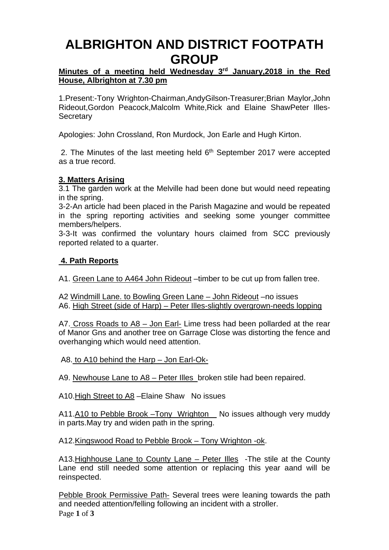## **ALBRIGHTON AND DISTRICT FOOTPATH GROUP**

### **Minutes of a meeting held Wednesday 3rd January,2018 in the Red House, Albrighton at 7.30 pm**

1.Present:-Tony Wrighton-Chairman,AndyGilson-Treasurer;Brian Maylor,John Rideout,Gordon Peacock,Malcolm White,Rick and Elaine ShawPeter Illes-**Secretary** 

Apologies: John Crossland, Ron Murdock, Jon Earle and Hugh Kirton.

2. The Minutes of the last meeting held  $6<sup>th</sup>$  September 2017 were accepted as a true record.

### **3. Matters Arising**

3.1 The garden work at the Melville had been done but would need repeating in the spring.

3-2-An article had been placed in the Parish Magazine and would be repeated in the spring reporting activities and seeking some younger committee members/helpers.

3-3-It was confirmed the voluntary hours claimed from SCC previously reported related to a quarter.

### **4. Path Reports**

A1. Green Lane to A464 John Rideout –timber to be cut up from fallen tree.

A2 Windmill Lane. to Bowling Green Lane – John Rideout –no issues A6. High Street (side of Harp) – Peter Illes-slightly overgrown-needs lopping

A7. Cross Roads to A8 – Jon Earl- Lime tress had been pollarded at the rear of Manor Gns and another tree on Garrage Close was distorting the fence and overhanging which would need attention.

A8. to A10 behind the Harp – Jon Earl-Ok-

A9. Newhouse Lane to A8 – Peter Illes broken stile had been repaired.

A10.High Street to A8 –Elaine Shaw No issues

A11.A10 to Pebble Brook – Tony Wrighton No issues although very muddy in parts.May try and widen path in the spring.

### A12.Kingswood Road to Pebble Brook – Tony Wrighton -ok.

A13. Highhouse Lane to County Lane – Peter Illes - The stile at the County Lane end still needed some attention or replacing this year aand will be reinspected.

Page **1** of **3** Pebble Brook Permissive Path- Several trees were leaning towards the path and needed attention/felling following an incident with a stroller.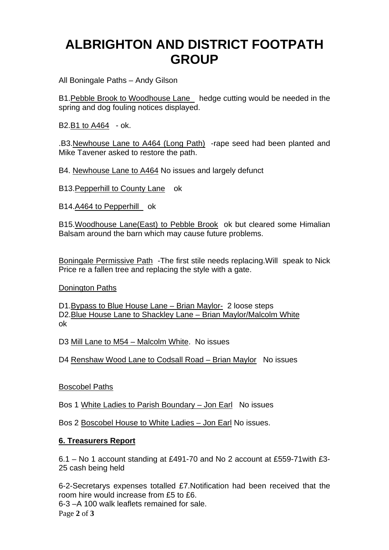## **ALBRIGHTON AND DISTRICT FOOTPATH GROUP**

All Boningale Paths – Andy Gilson

B1.Pebble Brook to Woodhouse Lane hedge cutting would be needed in the spring and dog fouling notices displayed.

B2.B1 to A464 - ok.

.B3.Newhouse Lane to A464 (Long Path) -rape seed had been planted and Mike Tavener asked to restore the path.

B4. Newhouse Lane to A464 No issues and largely defunct

B13.Pepperhill to County Lane ok

B14.A464 to Pepperhill ok

B15.Woodhouse Lane(East) to Pebble Brook ok but cleared some Himalian Balsam around the barn which may cause future problems.

Boningale Permissive Path -The first stile needs replacing.Will speak to Nick Price re a fallen tree and replacing the style with a gate.

Donington Paths

D1.Bypass to Blue House Lane – Brian Maylor- 2 loose steps D2.Blue House Lane to Shackley Lane – Brian Maylor/Malcolm White ok

D3 Mill Lane to M54 – Malcolm White. No issues

D4 Renshaw Wood Lane to Codsall Road – Brian Maylor No issues

Boscobel Paths

Bos 1 White Ladies to Parish Boundary – Jon Earl No issues

Bos 2 Boscobel House to White Ladies – Jon Earl No issues.

### **6. Treasurers Report**

6.1 – No 1 account standing at £491-70 and No 2 account at £559-71with £3- 25 cash being held

6-2-Secretarys expenses totalled £7.Notification had been received that the room hire would increase from £5 to £6. 6-3 –A 100 walk leaflets remained for sale.

Page **2** of **3**